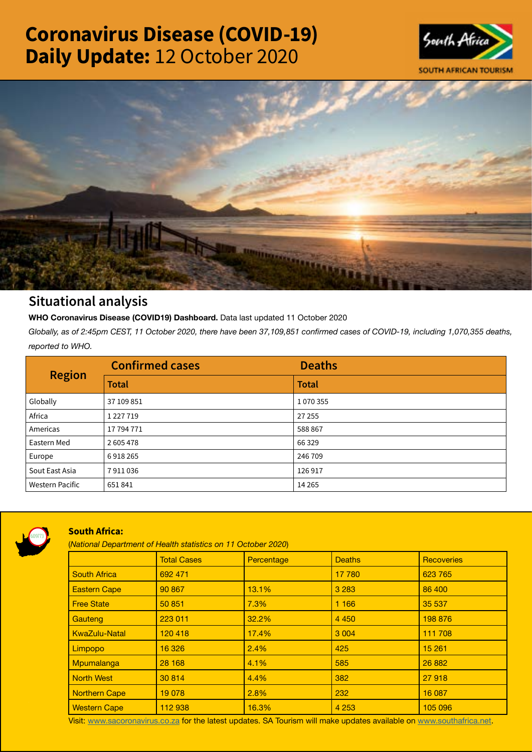# Coronavirus Disease (COVID-19) Daily Update: 12 October 2020





## Situational analysis

**WHO Coronavirus Disease (COVID19) Dashboard.** Data last updated 11 October 2020

*Globally, as of 2:45pm CEST, 11 October 2020, there have been 37,109,851 confirmed cases of COVID-19, including 1,070,355 deaths, reported to WHO.*

| <b>Region</b>          | <b>Confirmed cases</b> | <b>Deaths</b> |
|------------------------|------------------------|---------------|
|                        | <b>Total</b>           | <b>Total</b>  |
| Globally               | 37 109 851             | 1070355       |
| Africa                 | 1 2 2 7 1 9            | 27 255        |
| Americas               | 17 794 771             | 588867        |
| Eastern Med            | 2605478                | 66 3 29       |
| Europe                 | 6918265                | 246 709       |
| Sout East Asia         | 7911036                | 126917        |
| <b>Western Pacific</b> | 651841                 | 14 2 65       |



### South Africa:

(*National Department of Health statistics on 11 October 2020*)

|                      | <b>Total Cases</b> | Percentage | <b>Deaths</b> | <b>Recoveries</b> |  |  |
|----------------------|--------------------|------------|---------------|-------------------|--|--|
| <b>South Africa</b>  | 692 471            |            | 17 780        | 623 765           |  |  |
| <b>Eastern Cape</b>  | 90 867             | 13.1%      | 3 2 8 3       | 86 400            |  |  |
| <b>Free State</b>    | 50 851             | 7.3%       | 1 1 6 6       | 35 537            |  |  |
| Gauteng              | 223 011            | 32.2%      | 4 4 5 0       | 198 876           |  |  |
| <b>KwaZulu-Natal</b> | 120 418            | 17.4%      | 3 0 0 4       | 111 708           |  |  |
| Limpopo              | 16 3 26            | 2.4%       | 425           | 15 261            |  |  |
| Mpumalanga           | 28 168             | 4.1%       | 585           | 26 882            |  |  |
| <b>North West</b>    | 30 814             | 4.4%       | 382           | 27 918            |  |  |
| <b>Northern Cape</b> | 19 0 78            | 2.8%       | 232           | 16 087            |  |  |
| <b>Western Cape</b>  | 112 938            | 16.3%      | 4 2 5 3       | 105 096           |  |  |

Visit: [www.sacoronavirus.co.za](http://www.sacoronavirus.co.za) for the latest updates. SA Tourism will make updates available on [www.southafrica.net.](http://www.southafrica.net)